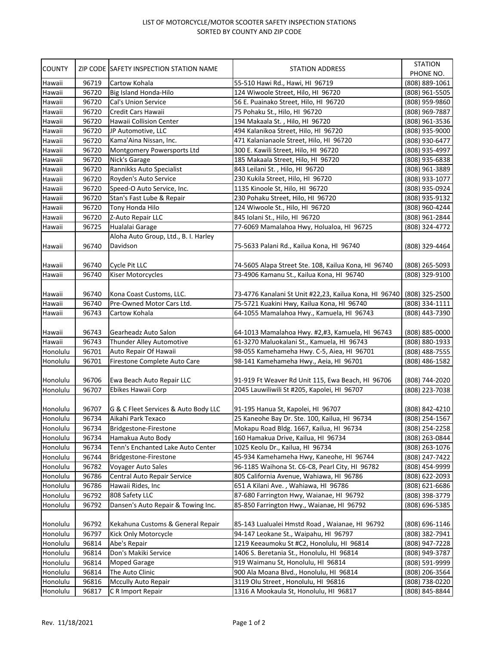## LIST OF MOTORCYCLE/MOTOR SCOOTER SAFETY INSPECTION STATIONS SORTED BY COUNTY AND ZIP CODE

| <b>COUNTY</b> |       | ZIP CODE SAFETY INSPECTION STATION NAME                    | STATION ADDRESS                                        | <b>STATION</b><br>PHONE NO. |
|---------------|-------|------------------------------------------------------------|--------------------------------------------------------|-----------------------------|
| Hawaii        | 96719 | Cartow Kohala                                              | 55-510 Hawi Rd., Hawi, HI 96719                        | (808) 889-1061              |
| Hawaii        | 96720 | Big Island Honda-Hilo                                      | 124 Wiwoole Street, Hilo, HI 96720                     | (808) 961-5505              |
| Hawaii        | 96720 | Cal's Union Service                                        | 56 E. Puainako Street, Hilo, HI 96720                  | (808) 959-9860              |
| Hawaii        | 96720 | Credit Cars Hawaii                                         | 75 Pohaku St., Hilo, HI 96720                          | (808) 969-7887              |
| Hawaii        | 96720 | Hawaii Collision Center                                    | 194 Makaala St., Hilo, HI 96720                        | (808) 961-3536              |
| Hawaii        | 96720 | JP Automotive, LLC                                         | 494 Kalanikoa Street, Hilo, HI 96720                   | (808) 935-9000              |
| Hawaii        | 96720 | Kama'Aina Nissan, Inc.                                     | 471 Kalanianaole Street, Hilo, HI 96720                | (808) 930-6477              |
| Hawaii        | 96720 | Montgomery Powersports Ltd                                 | 300 E. Kawili Street, Hilo, HI 96720                   | (808) 935-4997              |
| Hawaii        | 96720 | Nick's Garage                                              | 185 Makaala Street, Hilo, HI 96720                     | (808) 935-6838              |
| Hawaii        | 96720 | Rannikks Auto Specialist                                   | 843 Leilani St., Hilo, HI 96720                        | (808) 961-3889              |
| Hawaii        | 96720 | Royden's Auto Service                                      | 230 Kukila Street, Hilo, HI 96720                      | (808) 933-1077              |
| Hawaii        | 96720 | Speed-O Auto Service, Inc.                                 | 1135 Kinoole St, Hilo, HI 96720                        | (808) 935-0924              |
| Hawaii        | 96720 | Stan's Fast Lube & Repair                                  | 230 Pohaku Street, Hilo, HI 96720                      | (808) 935-9132              |
| Hawaii        | 96720 | Tony Honda Hilo                                            | 124 Wiwoole St., Hilo, HI 96720                        | (808) 960-4244              |
| Hawaii        | 96720 | Z-Auto Repair LLC                                          | 845 Iolani St., Hilo, HI 96720                         | (808) 961-2844              |
| Hawaii        |       | Hualalai Garage                                            | 77-6069 Mamalahoa Hwy, Holualoa, HI 96725              |                             |
|               | 96725 | Aloha Auto Group, Ltd., B. I. Harley                       |                                                        | (808) 324-4772              |
|               |       |                                                            |                                                        |                             |
| Hawaii        | 96740 | Davidson                                                   | 75-5633 Palani Rd., Kailua Kona, HI 96740              | (808) 329-4464              |
|               |       |                                                            |                                                        |                             |
| Hawaii        | 96740 | Cycle Pit LLC                                              | 74-5605 Alapa Street Ste. 108, Kailua Kona, HI 96740   | (808) 265-5093              |
| Hawaii        | 96740 | Kiser Motorcycles                                          | 73-4906 Kamanu St., Kailua Kona, HI 96740              | (808) 329-9100              |
|               |       |                                                            |                                                        |                             |
| Hawaii        | 96740 | Kona Coast Customs, LLC.                                   | 73-4776 Kanalani St Unit #22,23, Kailua Kona, HI 96740 | (808) 325-2500              |
| Hawaii        | 96740 | Pre-Owned Motor Cars Ltd.                                  | 75-5721 Kuakini Hwy, Kailua Kona, HI 96740             | (808) 334-1111              |
| Hawaii        | 96743 | Cartow Kohala                                              | 64-1055 Mamalahoa Hwy., Kamuela, HI 96743              | (808) 443-7390              |
|               |       |                                                            |                                                        |                             |
| Hawaii        | 96743 | Gearheadz Auto Salon                                       | 64-1013 Mamalahoa Hwy. #2,#3, Kamuela, HI 96743        | $(808)$ 885-0000            |
| Hawaii        | 96743 | Thunder Alley Automotive                                   | 61-3270 Maluokalani St., Kamuela, HI 96743             | (808) 880-1933              |
| Honolulu      | 96701 | Auto Repair Of Hawaii                                      | 98-055 Kamehameha Hwy. C-5, Aiea, HI 96701             | (808) 488-7555              |
| Honolulu      | 96701 | Firestone Complete Auto Care                               | 98-141 Kamehameha Hwy., Aeia, HI 96701                 | (808) 486-1582              |
|               |       |                                                            |                                                        |                             |
| Honolulu      | 96706 | Ewa Beach Auto Repair LLC                                  | 91-919 Ft Weaver Rd Unit 115, Ewa Beach, HI 96706      | (808) 744-2020              |
| Honolulu      | 96707 | Ebikes Hawaii Corp                                         | 2045 Lauwiliwili St #205, Kapolei, HI 96707            | (808) 223-7038              |
|               |       |                                                            |                                                        |                             |
| Honolulu      | 96707 | G & C Fleet Services & Auto Body LLC<br>Aikahi Park Texaco | 91-195 Hanua St, Kapolei, HI 96707                     | (808) 842-4210              |
| Honolulu      | 96734 |                                                            | 25 Kaneohe Bay Dr. Ste. 100, Kailua, HI 96734          | (808) 254-1567              |
| Honolulu      | 96734 | Bridgestone-Firestone                                      | Mokapu Road Bldg. 1667, Kailua, HI 96734               | (808) 254-2258              |
| Honolulu      | 96734 | Hamakua Auto Body                                          | 160 Hamakua Drive, Kailua, HI 96734                    | (808) 263-0844              |
| Honolulu      | 96734 | Tenn's Enchanted Lake Auto Center                          | 1025 Keolu Dr., Kailua, HI 96734                       | (808) 263-1076              |
| Honolulu      | 96744 | Bridgestone-Firestone                                      | 45-934 Kamehameha Hwy, Kaneohe, HI 96744               | (808) 247-7422              |
| Honolulu      | 96782 | Voyager Auto Sales                                         | 96-1185 Waihona St. C6-C8, Pearl City, HI 96782        | (808) 454-9999              |
| Honolulu      | 96786 | Central Auto Repair Service                                | 805 California Avenue, Wahiawa, HI 96786               | (808) 622-2093              |
| Honolulu      | 96786 | Hawaii Rides, Inc                                          | 651 A Kilani Ave., Wahiawa, HI 96786                   | (808) 621-6686              |
| Honolulu      | 96792 | 808 Safety LLC                                             | 87-680 Farrington Hwy, Waianae, HI 96792               | (808) 398-3779              |
| Honolulu      | 96792 | Dansen's Auto Repair & Towing Inc.                         | 85-850 Farrington Hwy., Waianae, HI 96792              | (808) 696-5385              |
|               |       |                                                            |                                                        |                             |
| Honolulu      | 96792 | Kekahuna Customs & General Repair                          | 85-143 Lualualei Hmstd Road, Waianae, HI 96792         | (808) 696-1146              |
| Honolulu      | 96797 | Kick Only Motorcycle                                       | 94-147 Leokane St., Waipahu, HI 96797                  | (808) 382-7941              |
| Honolulu      | 96814 | Abe's Repair                                               | 1219 Keeaumoku St #C2, Honolulu, HI 96814              | (808) 947-7228              |
| Honolulu      | 96814 | Don's Makiki Service                                       | 1406 S. Beretania St., Honolulu, HI 96814              | (808) 949-3787              |
| Honolulu      | 96814 | <b>Moped Garage</b>                                        | 919 Waimanu St, Honolulu, HI 96814                     | (808) 591-9999              |
| Honolulu      | 96814 | The Auto Clinic                                            | 900 Ala Moana Blvd., Honolulu, HI 96814                | (808) 206-3564              |
| Honolulu      | 96816 | <b>Mccully Auto Repair</b>                                 | 3119 Olu Street, Honolulu, HI 96816                    | (808) 738-0220              |
| Honolulu      | 96817 | C R Import Repair                                          | 1316 A Mookaula St, Honolulu, HI 96817                 | (808) 845-8844              |